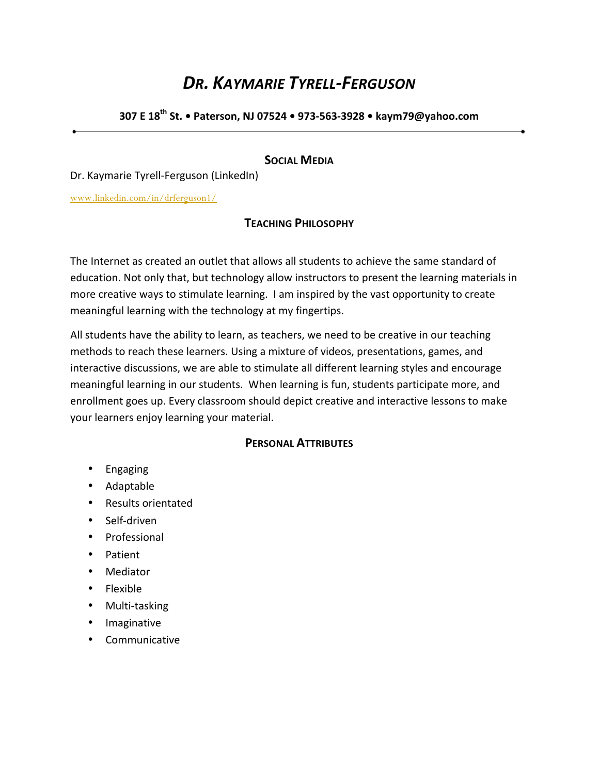# **DR. KAYMARIE TYRELL-FERGUSON**

**307 E 18th St. • Paterson, NJ 07524 • 973-563-3928 • kaym79@yahoo.com**

### **SOCIAL MEDIA**

Dr. Kaymarie Tyrell-Ferguson (LinkedIn)

www.linkedin.com/in/drferguson1/

### **TEACHING PHILOSOPHY**

The Internet as created an outlet that allows all students to achieve the same standard of education. Not only that, but technology allow instructors to present the learning materials in more creative ways to stimulate learning. I am inspired by the vast opportunity to create meaningful learning with the technology at my fingertips.

All students have the ability to learn, as teachers, we need to be creative in our teaching methods to reach these learners. Using a mixture of videos, presentations, games, and interactive discussions, we are able to stimulate all different learning styles and encourage meaningful learning in our students. When learning is fun, students participate more, and enrollment goes up. Every classroom should depict creative and interactive lessons to make your learners enjoy learning your material.

### **PERSONAL ATTRIBUTES**

- Engaging
- Adaptable
- Results orientated
- Self-driven
- Professional
- Patient
- Mediator
- Flexible
- Multi-tasking
- Imaginative
- Communicative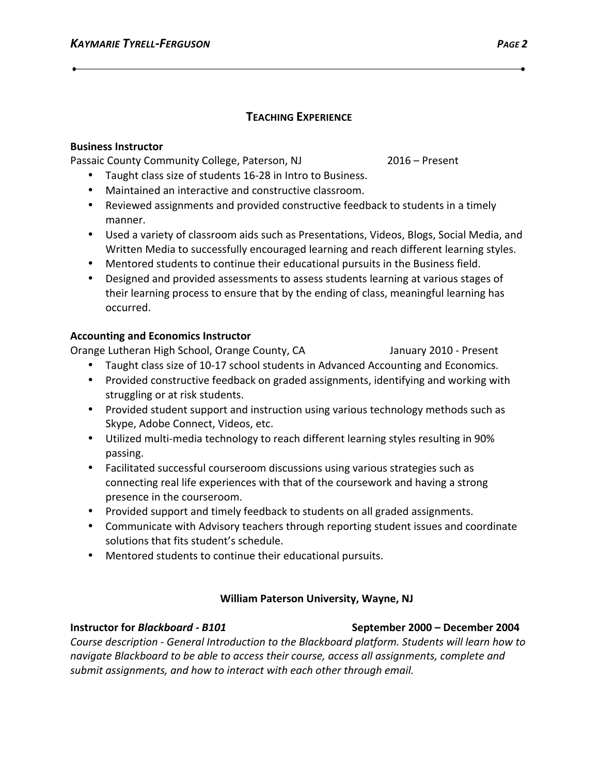# **TEACHING EXPERIENCE**

### **Business Instructor**

Passaic County Community College, Paterson, NJ 2016 – Present

- Taught class size of students 16-28 in Intro to Business.
- Maintained an interactive and constructive classroom.
- Reviewed assignments and provided constructive feedback to students in a timely manner.
- Used a variety of classroom aids such as Presentations, Videos, Blogs, Social Media, and Written Media to successfully encouraged learning and reach different learning styles.
- Mentored students to continue their educational pursuits in the Business field.
- Designed and provided assessments to assess students learning at various stages of their learning process to ensure that by the ending of class, meaningful learning has occurred.

### **Accounting and Economics Instructor**

Orange Lutheran High School, Orange County, CA State Manuary 2010 - Present

- Taught class size of 10-17 school students in Advanced Accounting and Economics.
- Provided constructive feedback on graded assignments, identifying and working with struggling or at risk students.
- Provided student support and instruction using various technology methods such as Skype, Adobe Connect, Videos, etc.
- Utilized multi-media technology to reach different learning styles resulting in 90% passing.
- Facilitated successful courseroom discussions using various strategies such as connecting real life experiences with that of the coursework and having a strong presence in the courseroom.
- Provided support and timely feedback to students on all graded assignments.
- Communicate with Advisory teachers through reporting student issues and coordinate solutions that fits student's schedule.
- Mentored students to continue their educational pursuits.

# **William Paterson University, Wayne, NJ**

# *Course description - General Introduction to the Blackboard platform. Students will learn how to* navigate Blackboard to be able to access their course, access all assignments, complete and submit assignments, and how to interact with each other through email.

# **Instructor for** *Blackboard - B101*  **September 2000 – December 2004**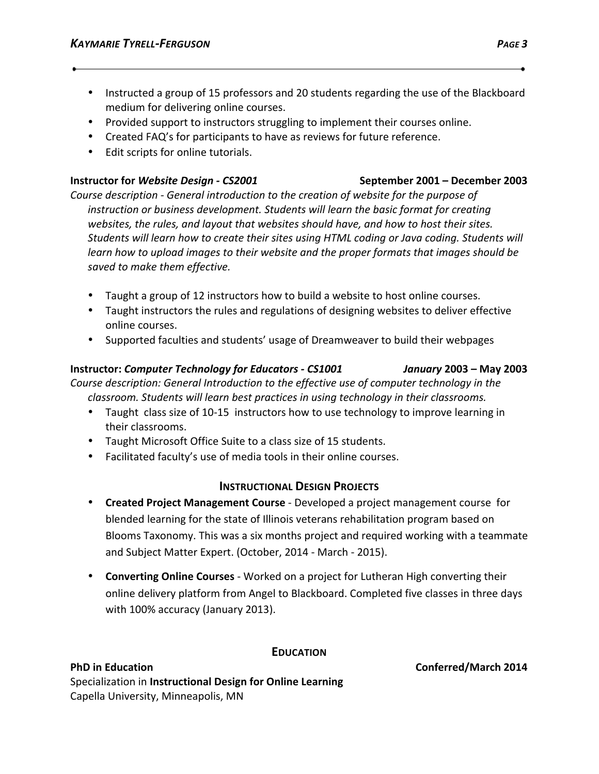- Instructed a group of 15 professors and 20 students regarding the use of the Blackboard medium for delivering online courses.
- Provided support to instructors struggling to implement their courses online.
- Created FAQ's for participants to have as reviews for future reference.
- Edit scripts for online tutorials.

### **Instructor for Website Design - CS2001 September 2001** – December 2003

Course description - General introduction to the creation of website for the purpose of *instruction or business development. Students will learn the basic format for creating* websites, the rules, and layout that websites should have, and how to host their sites. Students will learn how to create their sites using HTML coding or Java coding. Students will learn how to upload images to their website and the proper formats that images should be saved to make them effective.

- Taught a group of 12 instructors how to build a website to host online courses.
- Taught instructors the rules and regulations of designing websites to deliver effective online courses.
- Supported faculties and students' usage of Dreamweaver to build their webpages

### **Instructor:** *Computer Technology for Educators - CS1001 January* **2003 – May 2003**

*Course description: General Introduction to the effective use of computer technology in the* classroom. Students will learn best practices in using technology in their classrooms.

- Taught class size of 10-15 instructors how to use technology to improve learning in their classrooms.
- Taught Microsoft Office Suite to a class size of 15 students.
- Facilitated faculty's use of media tools in their online courses.

### **INSTRUCTIONAL DESIGN PROJECTS**

- **Created Project Management Course** Developed a project management course for blended learning for the state of Illinois veterans rehabilitation program based on Blooms Taxonomy. This was a six months project and required working with a teammate and Subject Matter Expert. (October, 2014 - March - 2015).
- Converting Online Courses Worked on a project for Lutheran High converting their online delivery platform from Angel to Blackboard. Completed five classes in three days with 100% accuracy (January 2013).

### **EDUCATION**

### **PhD** in Education **Conferred/March** 2014 **Specialization in Instructional Design for Online Learning** Capella University, Minneapolis, MN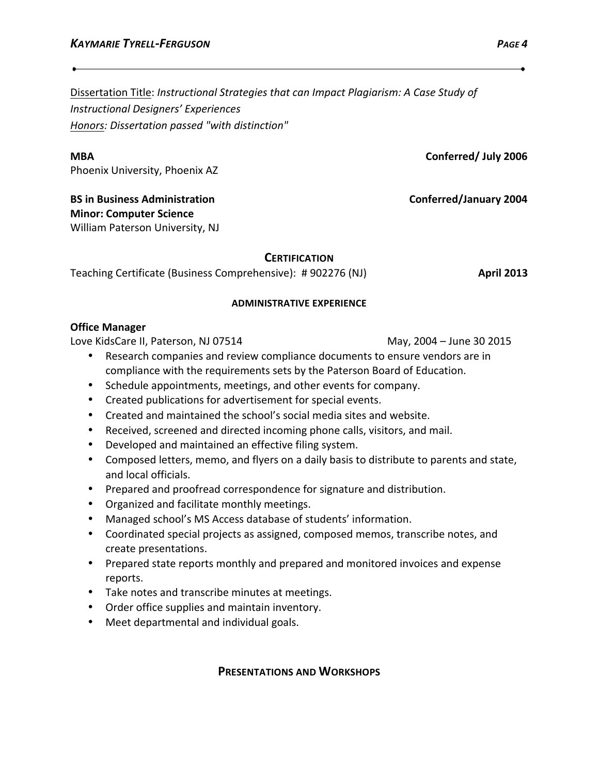Dissertation Title: *Instructional Strategies that can Impact Plagiarism: A Case Study of Instructional Designers' Experiences Honors: Dissertation passed "with distinction"*

**MBA Conferred/** July 2006

Phoenix University, Phoenix AZ

**BS** in Business Administration **by the conferred of the Conferred/January 2004 Minor: Computer Science** William Paterson University, NJ

### **CERTIFICATION**

Teaching Certificate (Business Comprehensive): # 902276 (NJ) **April 2013** 

### **ADMINISTRATIVE EXPERIENCE**

### **Office Manager**

Love KidsCare II, Paterson, NJ 07514 May, 2004 - June 30 2015

- Research companies and review compliance documents to ensure vendors are in compliance with the requirements sets by the Paterson Board of Education.
- Schedule appointments, meetings, and other events for company.
- Created publications for advertisement for special events.
- Created and maintained the school's social media sites and website.
- Received, screened and directed incoming phone calls, visitors, and mail.
- Developed and maintained an effective filing system.
- Composed letters, memo, and flyers on a daily basis to distribute to parents and state, and local officials.
- Prepared and proofread correspondence for signature and distribution.
- Organized and facilitate monthly meetings.
- Managed school's MS Access database of students' information.
- Coordinated special projects as assigned, composed memos, transcribe notes, and create presentations.
- Prepared state reports monthly and prepared and monitored invoices and expense reports.
- Take notes and transcribe minutes at meetings.
- Order office supplies and maintain inventory.
- Meet departmental and individual goals.

### **PRESENTATIONS AND WORKSHOPS**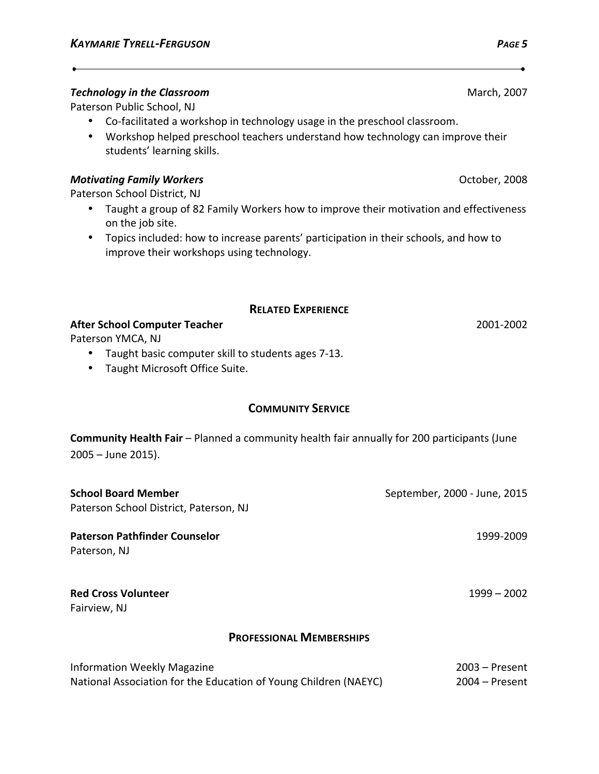### **Technology in the Classroom** March, 2007

Paterson Public School, NJ

- Co-facilitated a workshop in technology usage in the preschool classroom.
- Workshop helped preschool teachers understand how technology can improve their students' learning skills.

### **Motivating Family Workers Contract Contract Contract Contract Contract Contract Contract Contract Contract Contract Contract Contract Contract Contract Contract Contract Contract Contract Contract Contract Contract Cont**

Paterson School District, NJ

- Taught a group of 82 Family Workers how to improve their motivation and effectiveness on the job site.
- Topics included: how to increase parents' participation in their schools, and how to improve their workshops using technology.

### **RELATED EXPERIENCE**

**After School Computer Teacher 2001-2002** 

Paterson YMCA, NJ

- Taught basic computer skill to students ages 7-13.
- Taught Microsoft Office Suite.

### **COMMUNITY SERVICE**

**Community Health Fair** – Planned a community health fair annually for 200 participants (June  $2005 -$  June 2015).

| <b>School Board Member</b><br>Paterson School District, Paterson, NJ                                   | September, 2000 - June, 2015         |
|--------------------------------------------------------------------------------------------------------|--------------------------------------|
| <b>Paterson Pathfinder Counselor</b><br>Paterson, NJ                                                   | 1999-2009                            |
| <b>Red Cross Volunteer</b><br>Fairview, NJ                                                             | $1999 - 2002$                        |
| <b>PROFESSIONAL MEMBERSHIPS</b>                                                                        |                                      |
| <b>Information Weekly Magazine</b><br>National Association for the Education of Young Children (NAEYC) | $2003 -$ Present<br>$2004 -$ Present |